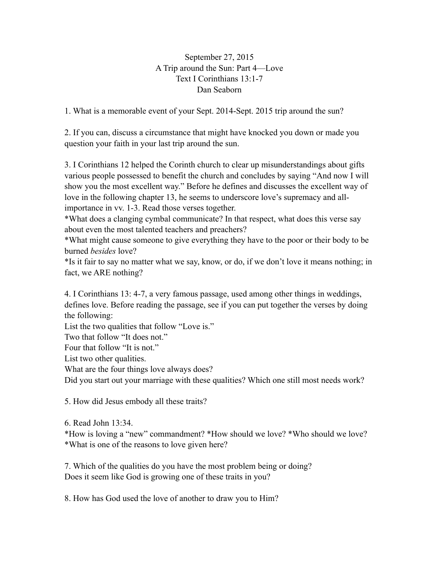## September 27, 2015 A Trip around the Sun: Part 4—Love Text I Corinthians 13:1-7 Dan Seaborn

1. What is a memorable event of your Sept. 2014-Sept. 2015 trip around the sun?

2. If you can, discuss a circumstance that might have knocked you down or made you question your faith in your last trip around the sun.

3. I Corinthians 12 helped the Corinth church to clear up misunderstandings about gifts various people possessed to benefit the church and concludes by saying "And now I will show you the most excellent way." Before he defines and discusses the excellent way of love in the following chapter 13, he seems to underscore love's supremacy and allimportance in vv. 1-3. Read those verses together.

\*What does a clanging cymbal communicate? In that respect, what does this verse say about even the most talented teachers and preachers?

\*What might cause someone to give everything they have to the poor or their body to be burned *besides* love?

\*Is it fair to say no matter what we say, know, or do, if we don't love it means nothing; in fact, we ARE nothing?

4. I Corinthians 13: 4-7, a very famous passage, used among other things in weddings, defines love. Before reading the passage, see if you can put together the verses by doing the following:

List the two qualities that follow "Love is."

Two that follow "It does not."

Four that follow "It is not."

List two other qualities.

What are the four things love always does?

Did you start out your marriage with these qualities? Which one still most needs work?

5. How did Jesus embody all these traits?

6. Read John 13:34.

\*How is loving a "new" commandment? \*How should we love? \*Who should we love? \*What is one of the reasons to love given here?

7. Which of the qualities do you have the most problem being or doing? Does it seem like God is growing one of these traits in you?

8. How has God used the love of another to draw you to Him?